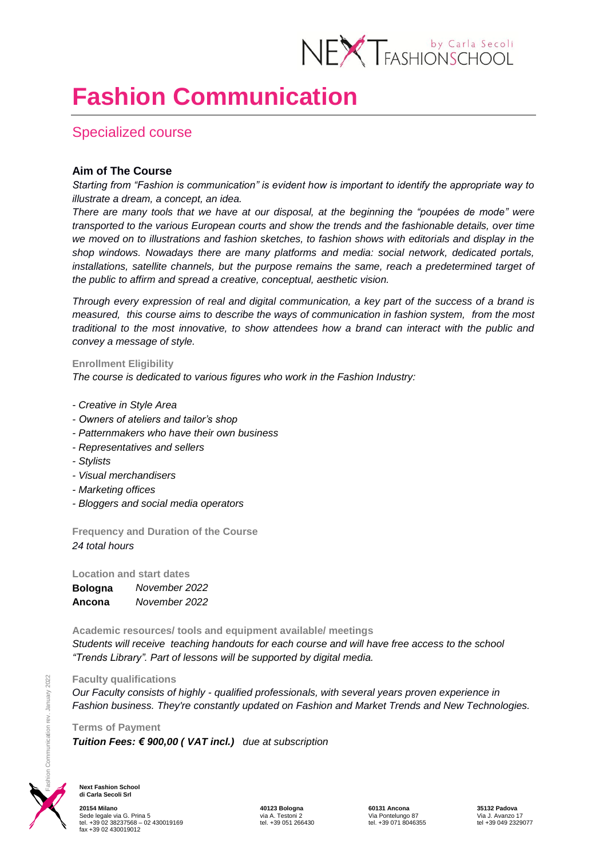

# **Fashion Communication**

## Specialized course

### **Aim of The Course**

*Starting from "Fashion is communication" is evident how is important to identify the appropriate way to illustrate a dream, a concept, an idea.*

*There are many tools that we have at our disposal, at the beginning the "poupées de mode" were transported to the various European courts and show the trends and the fashionable details, over time we moved on to illustrations and fashion sketches, to fashion shows with editorials and display in the shop windows. Nowadays there are many platforms and media: social network, dedicated portals, installations, satellite channels, but the purpose remains the same, reach a predetermined target of the public to affirm and spread a creative, conceptual, aesthetic vision.*

*Through every expression of real and digital communication, a key part of the success of a brand is measured, this course aims to describe the ways of communication in fashion system, from the most traditional to the most innovative, to show attendees how a brand can interact with the public and convey a message of style.*

#### **Enrollment Eligibility**

*The course is dedicated to various figures who work in the Fashion Industry:*

- *- Creative in Style Area*
- *- Owners of ateliers and tailor's shop*
- *- Patternmakers who have their own business*
- *- Representatives and sellers*
- *- Stylists*
- *- Visual merchandisers*
- *- Marketing offices*
- *- Bloggers and social media operators*

**Frequency and Duration of the Course** *24 total hours*

**Location and start dates**

| Bologna | November 2022 |
|---------|---------------|
| Ancona  | November 2022 |

**Academic resources/ tools and equipment available/ meetings**  *Students will receive teaching handouts for each course and will have free access to the school "Trends Library". Part of lessons will be supported by digital media.*

#### **Faculty qualifications**

*Our Faculty consists of highly - qualified professionals, with several years proven experience in Fashion business. They're constantly updated on Fashion and Market Trends and New Technologies.* 

**Terms of Payment** *Tuition Fees: € 900,00 ( VAT incl.) due at subscription*



**Next Fashion School di Carla Secoli Srl**

**20154 Milano 40123 Bologna 60131 Ancona 35132 Padova** Sede legale via G. Prina 5 via A. Testoni 2 via A. Testoni 2 via Pontelungo 87 via J. Avanzo 17<br>19 tel. +39 02 38237568 – 02 430019169 via J. Avanzo 17 tel. +39 051 266430 via J. H. +39 071 8046355 tel +39 tel. +39 02 38237568 - 02 430019169 fax +39 02 430019012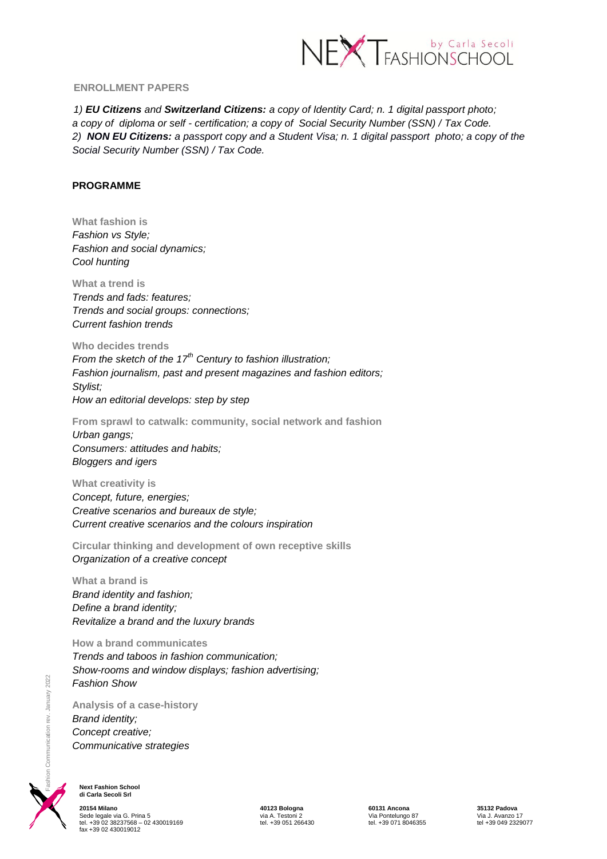

#### **ENROLLMENT PAPERS**

 *1) EU Citizens and Switzerland Citizens: a copy of Identity Card; n. 1 digital passport photo; a copy of diploma or self - certification; a copy of Social Security Number (SSN) / Tax Code. 2) NON EU Citizens: a passport copy and a Student Visa; n. 1 digital passport photo; a copy of the Social Security Number (SSN) / Tax Code.*

#### **PROGRAMME**

**What fashion is**  *Fashion vs Style; Fashion and social dynamics;* *Cool hunting*

**What a trend is**  *Trends and fads: features; Trends and social groups: connections;* *Current fashion trends*

**Who decides trends**  *From the sketch of the 17th Century to fashion illustration; Fashion journalism, past and present magazines and fashion editors;* *Stylist; How an editorial develops: step by step*

**From sprawl to catwalk: community, social network and fashion**  *Urban gangs; Consumers: attitudes and habits;* *Bloggers and igers* 

**What creativity is**  *Concept, future, energies; Creative scenarios and bureaux de style;* *Current creative scenarios and the colours inspiration* 

**Circular thinking and development of own receptive skills**  *Organization of a creative concept* 

**What a brand is**  *Brand identity and fashion; Define a brand identity;* *Revitalize a brand and the luxury brands*

**How a brand communicates**  *Trends and taboos in fashion communication; Show-rooms and window displays; fashion advertising;* *Fashion Show*

**Analysis of a case-history**  *Brand identity; Concept creative;* *Communicative strategies*



**Next Fashion School di Carla Secoli Srl**

**20154 Milano 40123 Bologna 60131 Ancona 35132 Padova** Sede legale via G. Prina 5 via A. Testoni 2 Via Pontelungo 87 Via J. Avanzo 17 tel. +39 02 38237568 – 02 430019169 tel. +39 051 266430 tel. +39 071 8046355 tel +39 049 2329077 fax +39 02 430019012